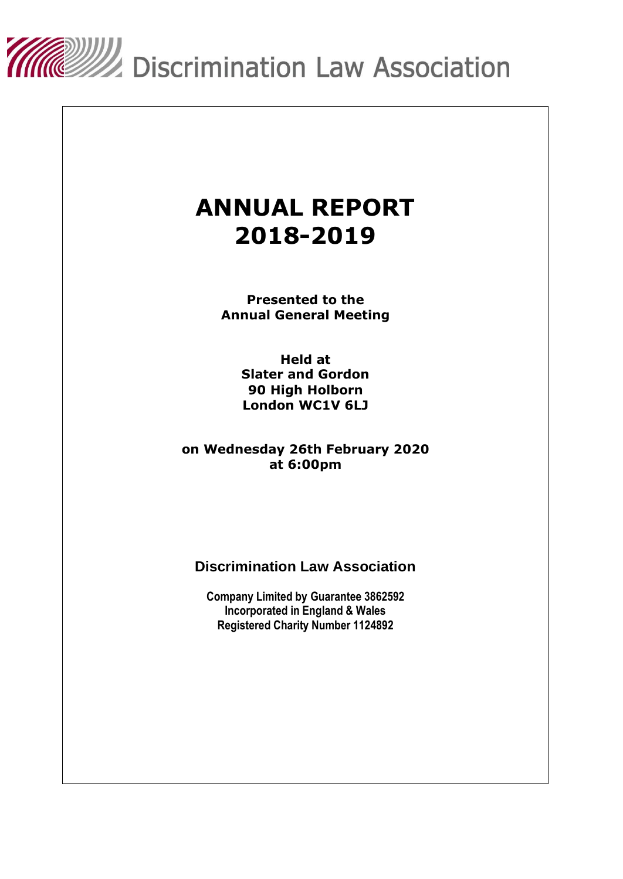

# **ANNUAL REPORT 2018-2019**

**Presented to the Annual General Meeting**

> **Held at Slater and Gordon 90 High Holborn London WC1V 6LJ**

**on Wednesday 26th February 2020 at 6:00pm**

**Discrimination Law Association**

**Company Limited by Guarantee 3862592 Incorporated in England & Wales Registered Charity Number 1124892**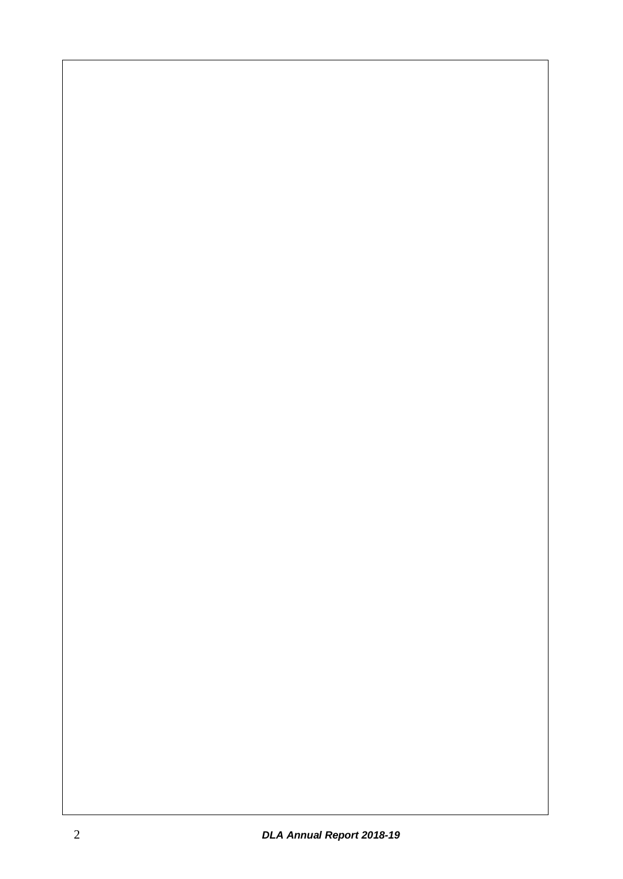*DLA Annual Report 2018-19*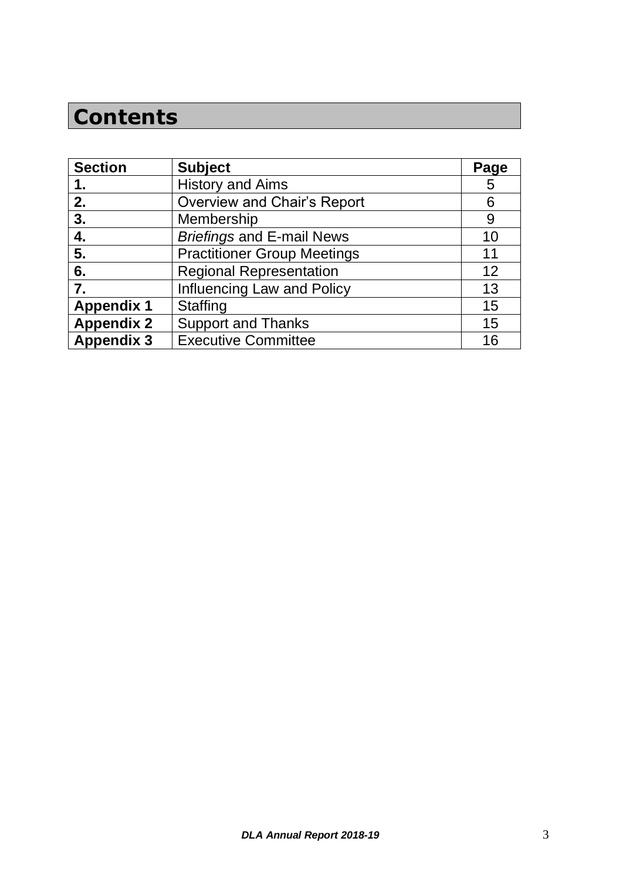# **Contents**

| <b>Section</b>    | <b>Subject</b>                     | Page |
|-------------------|------------------------------------|------|
| 1.                | <b>History and Aims</b>            | 5    |
| 2.                | <b>Overview and Chair's Report</b> | 6    |
| 3.                | Membership                         | 9    |
| 4.                | <b>Briefings and E-mail News</b>   | 10   |
| $\overline{5}$ .  | <b>Practitioner Group Meetings</b> | 11   |
| 6.                | <b>Regional Representation</b>     | 12   |
| 7.                | Influencing Law and Policy         | 13   |
| <b>Appendix 1</b> | <b>Staffing</b>                    | 15   |
| <b>Appendix 2</b> | <b>Support and Thanks</b>          | 15   |
| <b>Appendix 3</b> | <b>Executive Committee</b>         | 16   |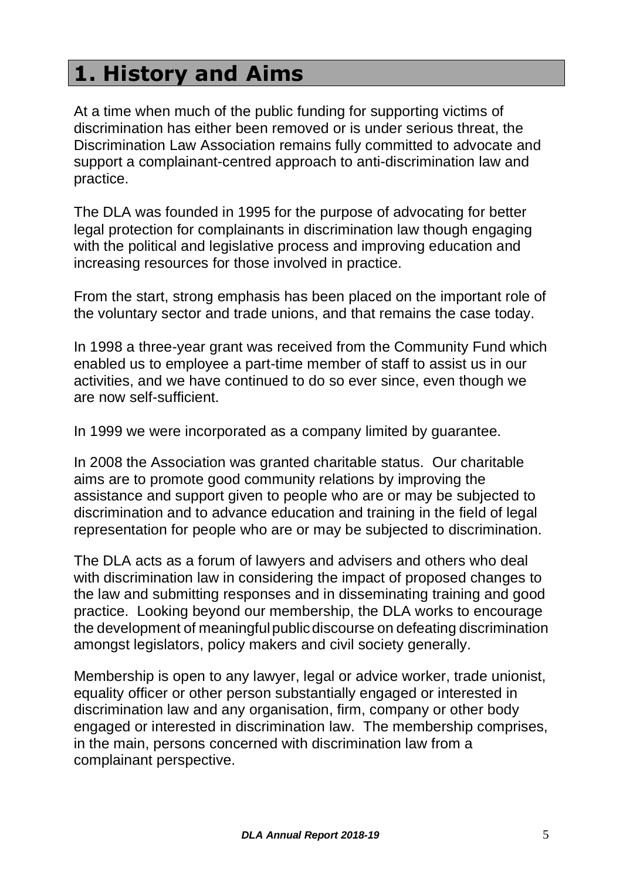## **1. History and Aims**

At a time when much of the public funding for supporting victims of discrimination has either been removed or is under serious threat, the Discrimination Law Association remains fully committed to advocate and support a complainant-centred approach to anti-discrimination law and practice.

The DLA was founded in 1995 for the purpose of advocating for better legal protection for complainants in discrimination law though engaging with the political and legislative process and improving education and increasing resources for those involved in practice.

From the start, strong emphasis has been placed on the important role of the voluntary sector and trade unions, and that remains the case today.

In 1998 a three-year grant was received from the Community Fund which enabled us to employee a part-time member of staff to assist us in our activities, and we have continued to do so ever since, even though we are now self-sufficient.

In 1999 we were incorporated as a company limited by guarantee.

In 2008 the Association was granted charitable status. Our charitable aims are to promote good community relations by improving the assistance and support given to people who are or may be subjected to discrimination and to advance education and training in the field of legal representation for people who are or may be subjected to discrimination.

The DLA acts as a forum of lawyers and advisers and others who deal with discrimination law in considering the impact of proposed changes to the law and submitting responses and in disseminating training and good practice. Looking beyond our membership, the DLA works to encourage the development of meaningful public discourse on defeating discrimination amongst legislators, policy makers and civil society generally.

Membership is open to any lawyer, legal or advice worker, trade unionist, equality officer or other person substantially engaged or interested in discrimination law and any organisation, firm, company or other body engaged or interested in discrimination law. The membership comprises, in the main, persons concerned with discrimination law from a complainant perspective.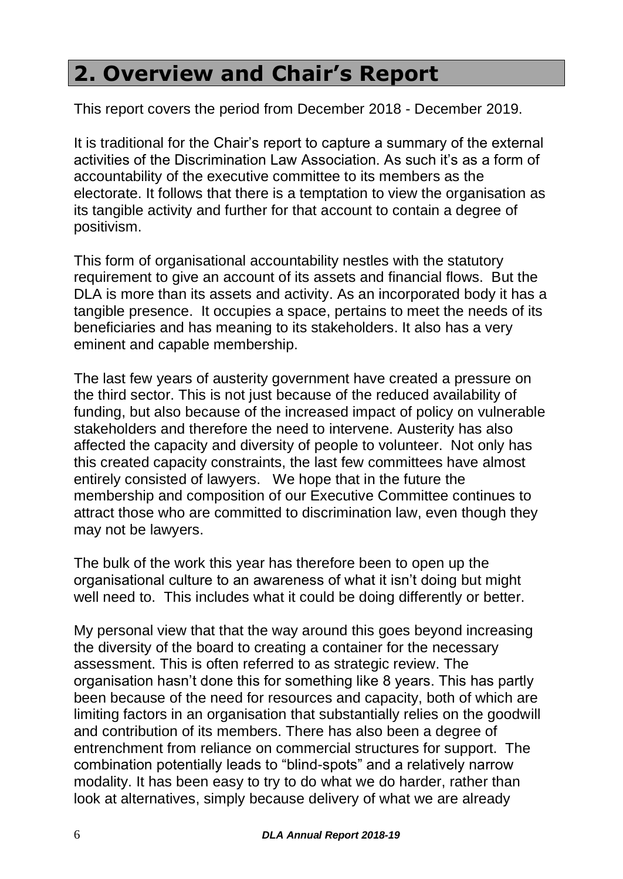## **2. Overview and Chair's Report**

This report covers the period from December 2018 - December 2019.

It is traditional for the Chair's report to capture a summary of the external activities of the Discrimination Law Association. As such it's as a form of accountability of the executive committee to its members as the electorate. It follows that there is a temptation to view the organisation as its tangible activity and further for that account to contain a degree of positivism.

This form of organisational accountability nestles with the statutory requirement to give an account of its assets and financial flows. But the DLA is more than its assets and activity. As an incorporated body it has a tangible presence. It occupies a space, pertains to meet the needs of its beneficiaries and has meaning to its stakeholders. It also has a very eminent and capable membership.

The last few years of austerity government have created a pressure on the third sector. This is not just because of the reduced availability of funding, but also because of the increased impact of policy on vulnerable stakeholders and therefore the need to intervene. Austerity has also affected the capacity and diversity of people to volunteer. Not only has this created capacity constraints, the last few committees have almost entirely consisted of lawyers. We hope that in the future the membership and composition of our Executive Committee continues to attract those who are committed to discrimination law, even though they may not be lawyers.

The bulk of the work this year has therefore been to open up the organisational culture to an awareness of what it isn't doing but might well need to. This includes what it could be doing differently or better.

My personal view that that the way around this goes beyond increasing the diversity of the board to creating a container for the necessary assessment. This is often referred to as strategic review. The organisation hasn't done this for something like 8 years. This has partly been because of the need for resources and capacity, both of which are limiting factors in an organisation that substantially relies on the goodwill and contribution of its members. There has also been a degree of entrenchment from reliance on commercial structures for support. The combination potentially leads to "blind-spots" and a relatively narrow modality. It has been easy to try to do what we do harder, rather than look at alternatives, simply because delivery of what we are already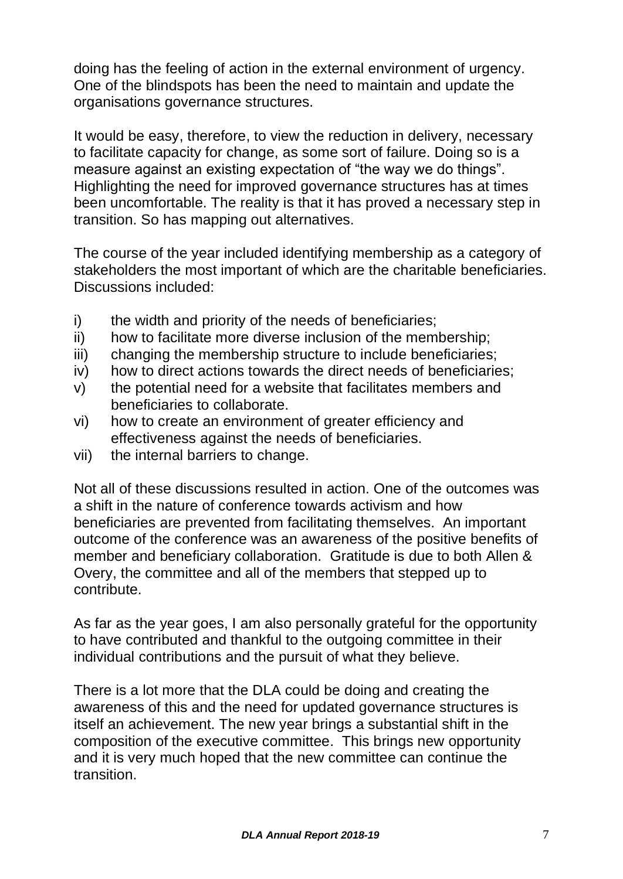doing has the feeling of action in the external environment of urgency. One of the blindspots has been the need to maintain and update the organisations governance structures.

It would be easy, therefore, to view the reduction in delivery, necessary to facilitate capacity for change, as some sort of failure. Doing so is a measure against an existing expectation of "the way we do things". Highlighting the need for improved governance structures has at times been uncomfortable. The reality is that it has proved a necessary step in transition. So has mapping out alternatives.

The course of the year included identifying membership as a category of stakeholders the most important of which are the charitable beneficiaries. Discussions included:

- i) the width and priority of the needs of beneficiaries;
- ii) how to facilitate more diverse inclusion of the membership;
- iii) changing the membership structure to include beneficiaries;
- iv) how to direct actions towards the direct needs of beneficiaries;
- v) the potential need for a website that facilitates members and beneficiaries to collaborate.
- vi) how to create an environment of greater efficiency and effectiveness against the needs of beneficiaries.
- vii) the internal barriers to change.

Not all of these discussions resulted in action. One of the outcomes was a shift in the nature of conference towards activism and how beneficiaries are prevented from facilitating themselves. An important outcome of the conference was an awareness of the positive benefits of member and beneficiary collaboration. Gratitude is due to both Allen & Overy, the committee and all of the members that stepped up to contribute.

As far as the year goes, I am also personally grateful for the opportunity to have contributed and thankful to the outgoing committee in their individual contributions and the pursuit of what they believe.

There is a lot more that the DLA could be doing and creating the awareness of this and the need for updated governance structures is itself an achievement. The new year brings a substantial shift in the composition of the executive committee. This brings new opportunity and it is very much hoped that the new committee can continue the transition.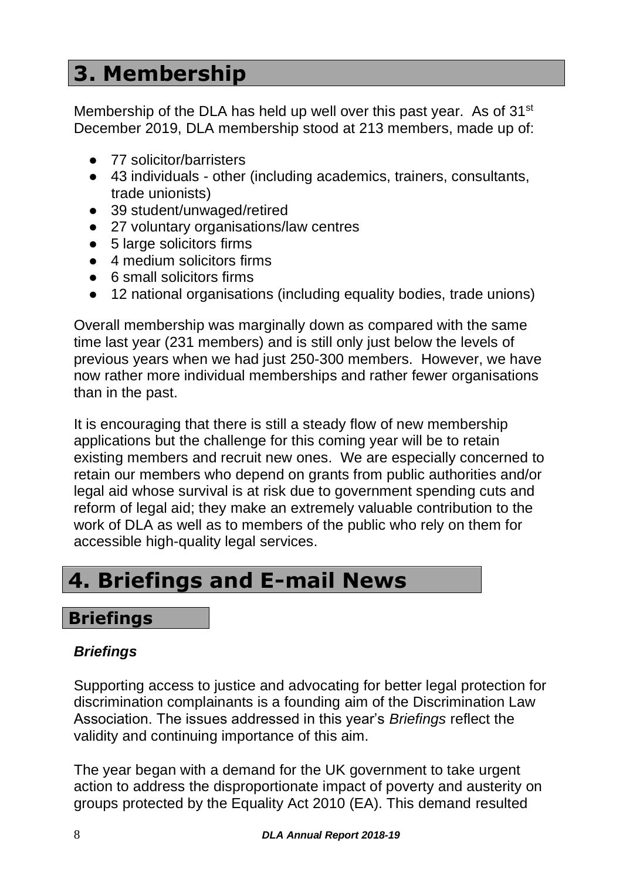## **3. Membership**

Membership of the DLA has held up well over this past year. As of 31<sup>st</sup> December 2019, DLA membership stood at 213 members, made up of:

- 77 solicitor/barristers
- 43 individuals other (including academics, trainers, consultants, trade unionists)
- 39 student/unwaged/retired
- 27 voluntary organisations/law centres
- 5 large solicitors firms
- 4 medium solicitors firms
- 6 small solicitors firms
- 12 national organisations (including equality bodies, trade unions)

Overall membership was marginally down as compared with the same time last year (231 members) and is still only just below the levels of previous years when we had just 250-300 members. However, we have now rather more individual memberships and rather fewer organisations than in the past.

It is encouraging that there is still a steady flow of new membership applications but the challenge for this coming year will be to retain existing members and recruit new ones. We are especially concerned to retain our members who depend on grants from public authorities and/or legal aid whose survival is at risk due to government spending cuts and reform of legal aid; they make an extremely valuable contribution to the work of DLA as well as to members of the public who rely on them for accessible high-quality legal services.

## **4. Briefings and E-mail News**

#### **Briefings**

#### *Briefings*

Supporting access to justice and advocating for better legal protection for discrimination complainants is a founding aim of the Discrimination Law Association. The issues addressed in this year's *Briefings* reflect the validity and continuing importance of this aim.

The year began with a demand for the UK government to take urgent action to address the disproportionate impact of poverty and austerity on groups protected by the Equality Act 2010 (EA). This demand resulted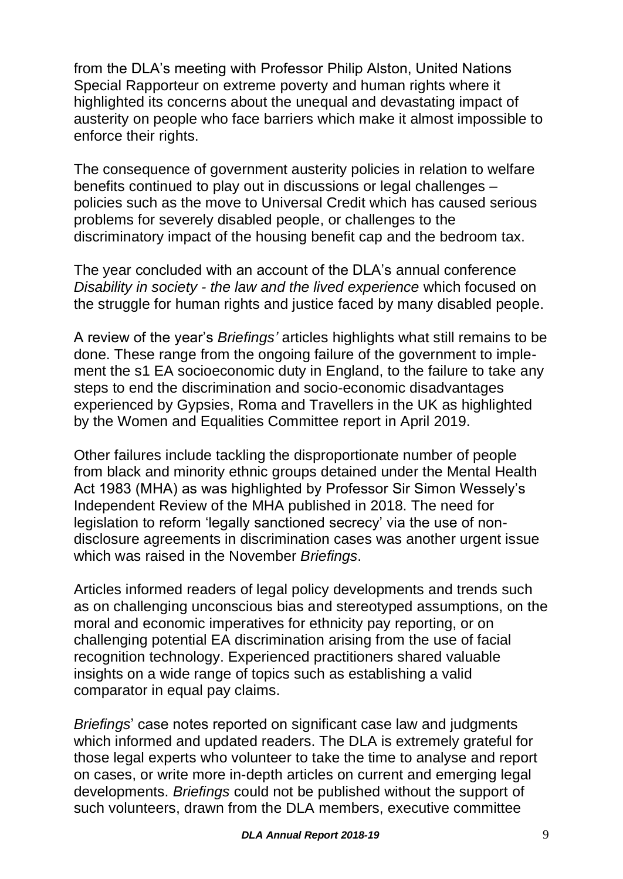from the DLA's meeting with Professor Philip Alston, United Nations Special Rapporteur on extreme poverty and human rights where it highlighted its concerns about the unequal and devastating impact of austerity on people who face barriers which make it almost impossible to enforce their rights.

The consequence of government austerity policies in relation to welfare benefits continued to play out in discussions or legal challenges – policies such as the move to Universal Credit which has caused serious problems for severely disabled people, or challenges to the discriminatory impact of the housing benefit cap and the bedroom tax.

The year concluded with an account of the DLA's annual conference *Disability in society - the law and the lived experience* which focused on the struggle for human rights and justice faced by many disabled people.

A review of the year's *Briefings'* articles highlights what still remains to be done. These range from the ongoing failure of the government to implement the s1 EA socioeconomic duty in England, to the failure to take any steps to end the discrimination and socio-economic disadvantages experienced by Gypsies, Roma and Travellers in the UK as highlighted by the Women and Equalities Committee report in April 2019.

Other failures include tackling the disproportionate number of people from black and minority ethnic groups detained under the Mental Health Act 1983 (MHA) as was highlighted by Professor Sir Simon Wessely's Independent Review of the MHA published in 2018. The need for legislation to reform 'legally sanctioned secrecy' via the use of nondisclosure agreements in discrimination cases was another urgent issue which was raised in the November *Briefings*.

Articles informed readers of legal policy developments and trends such as on challenging unconscious bias and stereotyped assumptions, on the moral and economic imperatives for ethnicity pay reporting, or on challenging potential EA discrimination arising from the use of facial recognition technology. Experienced practitioners shared valuable insights on a wide range of topics such as establishing a valid comparator in equal pay claims.

*Briefings*' case notes reported on significant case law and judgments which informed and updated readers. The DLA is extremely grateful for those legal experts who volunteer to take the time to analyse and report on cases, or write more in-depth articles on current and emerging legal developments. *Briefings* could not be published without the support of such volunteers, drawn from the DLA members, executive committee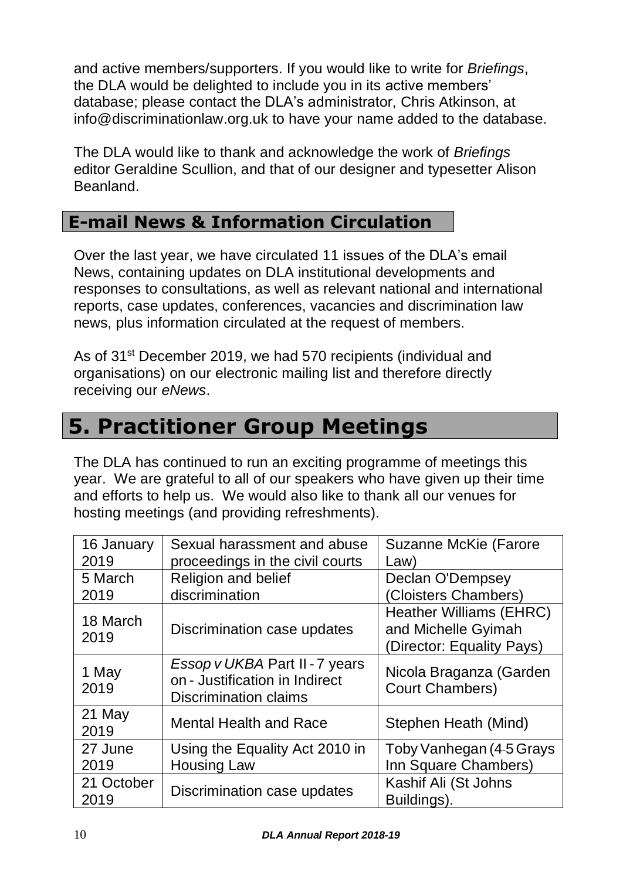and active members/supporters. If you would like to write for *Briefings*, the DLA would be delighted to include you in its active members' database; please contact the DLA's administrator, Chris Atkinson, at info@discriminationlaw.org.uk to have your name added to the database.

The DLA would like to thank and acknowledge the work of *Briefings* editor Geraldine Scullion, and that of our designer and typesetter Alison Beanland.

### **E-mail News & Information Circulation**

Over the last year, we have circulated 11 issues of the DLA's email News, containing updates on DLA institutional developments and responses to consultations, as well as relevant national and international reports, case updates, conferences, vacancies and discrimination law news, plus information circulated at the request of members.

As of 31<sup>st</sup> December 2019, we had 570 recipients (individual and organisations) on our electronic mailing list and therefore directly receiving our *eNews*.

### **5. Practitioner Group Meetings**

The DLA has continued to run an exciting programme of meetings this year. We are grateful to all of our speakers who have given up their time and efforts to help us. We would also like to thank all our venues for hosting meetings (and providing refreshments).

| 16 January         | Sexual harassment and abuse                                                                      | Suzanne McKie (Farore                                                              |
|--------------------|--------------------------------------------------------------------------------------------------|------------------------------------------------------------------------------------|
| 2019               | proceedings in the civil courts                                                                  | Law)                                                                               |
| 5 March            | Religion and belief                                                                              | Declan O'Dempsey                                                                   |
| 2019               | discrimination                                                                                   | (Cloisters Chambers)                                                               |
| 18 March<br>2019   | Discrimination case updates                                                                      | <b>Heather Williams (EHRC)</b><br>and Michelle Gyimah<br>(Director: Equality Pays) |
| 1 May<br>2019      | Essop v UKBA Part II - 7 years<br>on - Justification in Indirect<br><b>Discrimination claims</b> | Nicola Braganza (Garden<br><b>Court Chambers)</b>                                  |
| 21 May<br>2019     | <b>Mental Health and Race</b>                                                                    | Stephen Heath (Mind)                                                               |
| 27 June<br>2019    | Using the Equality Act 2010 in<br><b>Housing Law</b>                                             | Toby Vanhegan (4-5 Grays<br>Inn Square Chambers)                                   |
| 21 October<br>2019 | Discrimination case updates                                                                      | Kashif Ali (St Johns<br>Buildings).                                                |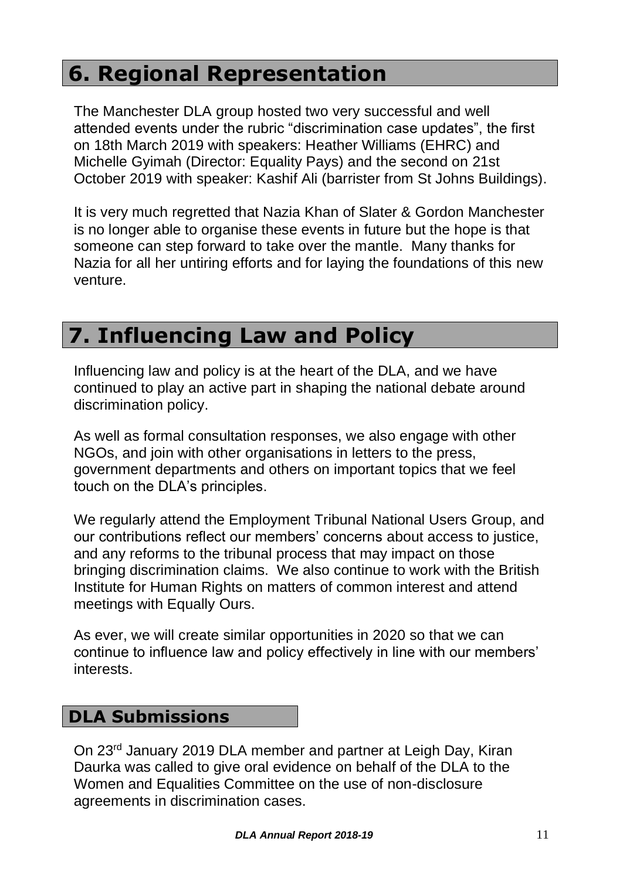## **6. Regional Representation**

The Manchester DLA group hosted two very successful and well attended events under the rubric "discrimination case updates", the first on 18th March 2019 with speakers: Heather Williams (EHRC) and Michelle Gyimah (Director: Equality Pays) and the second on 21st October 2019 with speaker: Kashif Ali (barrister from St Johns Buildings).

It is very much regretted that Nazia Khan of Slater & Gordon Manchester is no longer able to organise these events in future but the hope is that someone can step forward to take over the mantle. Many thanks for Nazia for all her untiring efforts and for laying the foundations of this new venture.

### **7. Influencing Law and Policy**

Influencing law and policy is at the heart of the DLA, and we have continued to play an active part in shaping the national debate around discrimination policy.

As well as formal consultation responses, we also engage with other NGOs, and join with other organisations in letters to the press, government departments and others on important topics that we feel touch on the DLA's principles.

We regularly attend the Employment Tribunal National Users Group, and our contributions reflect our members' concerns about access to justice, and any reforms to the tribunal process that may impact on those bringing discrimination claims. We also continue to work with the British Institute for Human Rights on matters of common interest and attend meetings with Equally Ours.

As ever, we will create similar opportunities in 2020 so that we can continue to influence law and policy effectively in line with our members' interests.

#### **DLA Submissions**

On 23<sup>rd</sup> January 2019 DLA member and partner at Leigh Day, Kiran Daurka was called to give oral evidence on behalf of the DLA to the Women and Equalities Committee on the use of non-disclosure agreements in discrimination cases.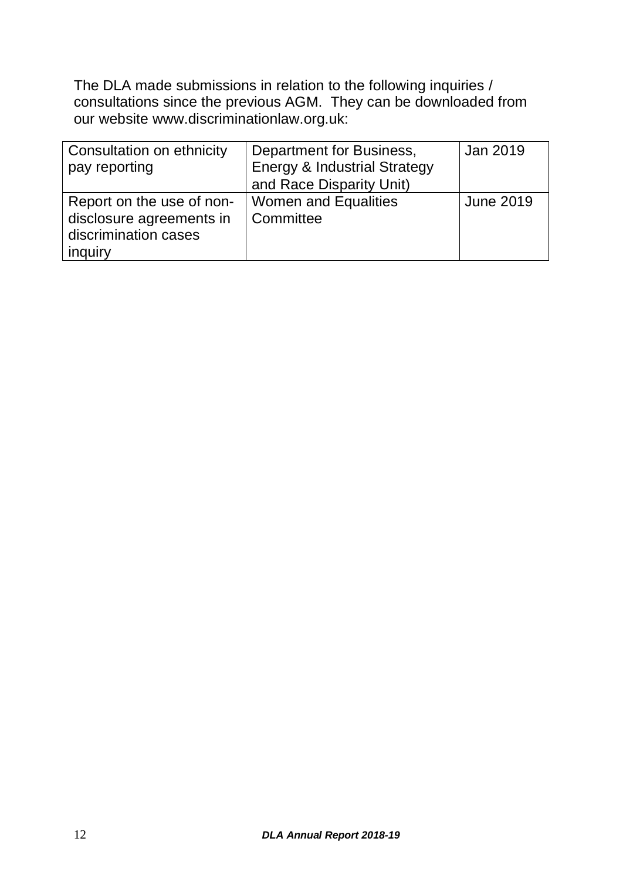The DLA made submissions in relation to the following inquiries / consultations since the previous AGM. They can be downloaded from our website www.discriminationlaw.org.uk:

| Consultation on ethnicity<br>pay reporting                                               | Department for Business,<br><b>Energy &amp; Industrial Strategy</b><br>and Race Disparity Unit) | Jan 2019         |
|------------------------------------------------------------------------------------------|-------------------------------------------------------------------------------------------------|------------------|
| Report on the use of non-<br>disclosure agreements in<br>discrimination cases<br>inquiry | <b>Women and Equalities</b><br>Committee                                                        | <b>June 2019</b> |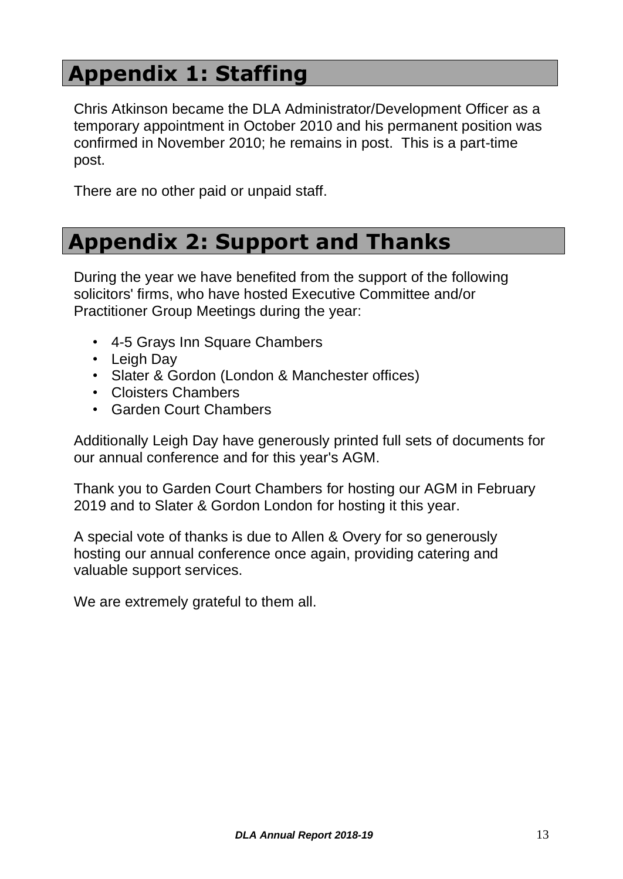## **Appendix 1: Staffing**

Chris Atkinson became the DLA Administrator/Development Officer as a temporary appointment in October 2010 and his permanent position was confirmed in November 2010; he remains in post. This is a part-time post.

There are no other paid or unpaid staff.

### **Appendix 2: Support and Thanks**

During the year we have benefited from the support of the following solicitors' firms, who have hosted Executive Committee and/or Practitioner Group Meetings during the year:

- 4-5 Grays Inn Square Chambers
- Leigh Day
- Slater & Gordon (London & Manchester offices)
- Cloisters Chambers
- Garden Court Chambers

Additionally Leigh Day have generously printed full sets of documents for our annual conference and for this year's AGM.

Thank you to Garden Court Chambers for hosting our AGM in February 2019 and to Slater & Gordon London for hosting it this year.

A special vote of thanks is due to Allen & Overy for so generously hosting our annual conference once again, providing catering and valuable support services.

We are extremely grateful to them all.